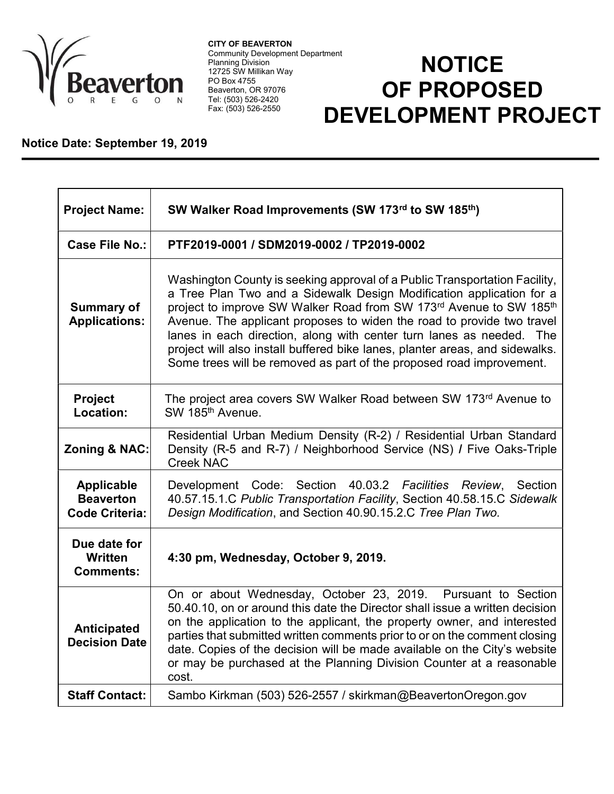

CITY OF BEAVERTON Community Development Department Planning Division 12725 SW Millikan Way PO Box 4755 Beaverton, OR 97076 Tel: (503) 526-2420 Fax: (503) 526-2550

## **NOTICE** OF PROPOSED DEVELOPMENT PROJECT

## Notice Date: September 19, 2019

| <b>Project Name:</b>                                           | SW Walker Road Improvements (SW 173rd to SW 185th)                                                                                                                                                                                                                                                                                                                                                                                                                                                                                 |
|----------------------------------------------------------------|------------------------------------------------------------------------------------------------------------------------------------------------------------------------------------------------------------------------------------------------------------------------------------------------------------------------------------------------------------------------------------------------------------------------------------------------------------------------------------------------------------------------------------|
| Case File No.:                                                 | PTF2019-0001 / SDM2019-0002 / TP2019-0002                                                                                                                                                                                                                                                                                                                                                                                                                                                                                          |
| <b>Summary of</b><br><b>Applications:</b>                      | Washington County is seeking approval of a Public Transportation Facility,<br>a Tree Plan Two and a Sidewalk Design Modification application for a<br>project to improve SW Walker Road from SW 173rd Avenue to SW 185th<br>Avenue. The applicant proposes to widen the road to provide two travel<br>lanes in each direction, along with center turn lanes as needed. The<br>project will also install buffered bike lanes, planter areas, and sidewalks.<br>Some trees will be removed as part of the proposed road improvement. |
| <b>Project</b><br>Location:                                    | The project area covers SW Walker Road between SW 173 <sup>rd</sup> Avenue to<br>SW 185 <sup>th</sup> Avenue.                                                                                                                                                                                                                                                                                                                                                                                                                      |
| Zoning & NAC:                                                  | Residential Urban Medium Density (R-2) / Residential Urban Standard<br>Density (R-5 and R-7) / Neighborhood Service (NS) / Five Oaks-Triple<br><b>Creek NAC</b>                                                                                                                                                                                                                                                                                                                                                                    |
| <b>Applicable</b><br><b>Beaverton</b><br><b>Code Criteria:</b> | Development Code: Section 40.03.2 Facilities Review,<br>Section<br>40.57.15.1.C Public Transportation Facility, Section 40.58.15.C Sidewalk<br>Design Modification, and Section 40.90.15.2.C Tree Plan Two.                                                                                                                                                                                                                                                                                                                        |
| Due date for<br>Written<br><b>Comments:</b>                    | 4:30 pm, Wednesday, October 9, 2019.                                                                                                                                                                                                                                                                                                                                                                                                                                                                                               |
| Anticipated<br><b>Decision Date</b>                            | On or about Wednesday, October 23, 2019. Pursuant to Section<br>50.40.10, on or around this date the Director shall issue a written decision<br>on the application to the applicant, the property owner, and interested<br>parties that submitted written comments prior to or on the comment closing<br>date. Copies of the decision will be made available on the City's website<br>or may be purchased at the Planning Division Counter at a reasonable<br>cost.                                                                |
| <b>Staff Contact:</b>                                          | Sambo Kirkman (503) 526-2557 / skirkman@BeavertonOregon.gov                                                                                                                                                                                                                                                                                                                                                                                                                                                                        |